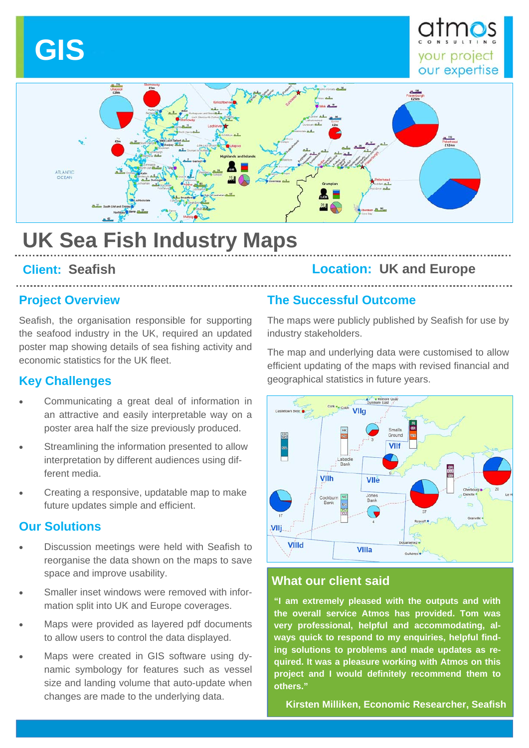# **GIS**





## **UK Sea Fish Industry Maps**

#### **Project Overview**

Seafish, the organisation responsible for supporting the seafood industry in the UK, required an updated poster map showing details of sea fishing activity and economic statistics for the UK fleet.

#### **Key Challenges**

- Communicating a great deal of information in an attractive and easily interpretable way on a poster area half the size previously produced.
- Streamlining the information presented to allow interpretation by different audiences using different media.
- Creating a responsive, updatable map to make future updates simple and efficient.

#### **Our Solutions**

- Discussion meetings were held with Seafish to reorganise the data shown on the maps to save space and improve usability.
- Smaller inset windows were removed with information split into UK and Europe coverages.
- Maps were provided as layered pdf documents to allow users to control the data displayed.
- Maps were created in GIS software using dynamic symbology for features such as vessel size and landing volume that auto-update when changes are made to the underlying data.

### **Client: Seafish Location: UK and Europe**

#### **The Successful Outcome**

The maps were publicly published by Seafish for use by industry stakeholders.

The map and underlying data were customised to allow efficient updating of the maps with revised financial and geographical statistics in future years.



#### **What our client said**

**"I am extremely pleased with the outputs and with the overall service Atmos has provided. Tom was very professional, helpful and accommodating, always quick to respond to my enquiries, helpful finding solutions to problems and made updates as required. It was a pleasure working with Atmos on this project and I would definitely recommend them to others."** 

**Kirsten Milliken, Economic Researcher, Seafish**